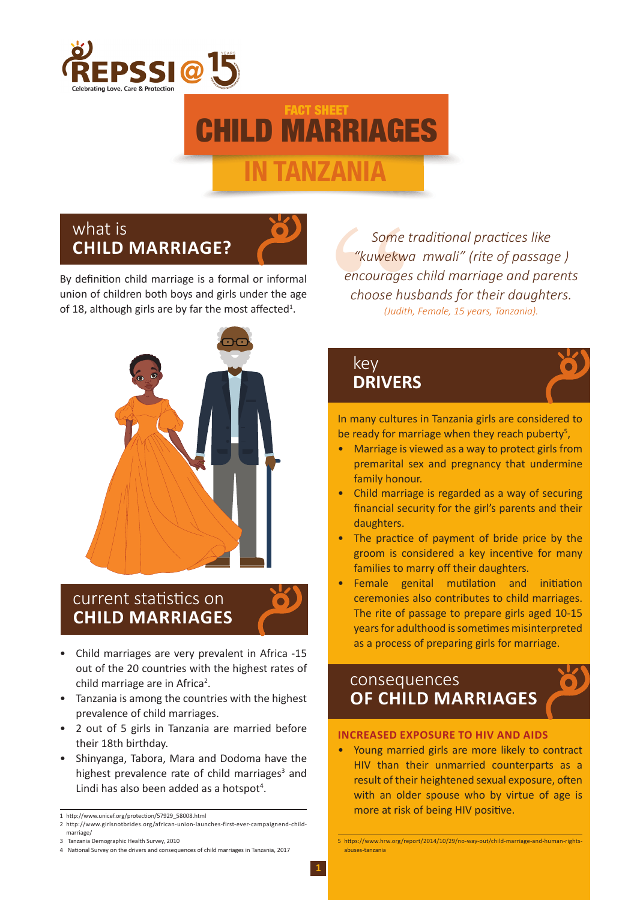

# CHILD MARRIAGES **IN TANZANIA** FACT SHEET

## what is **CHILD MARRIAGE?**

By definition child marriage is a formal or informal union of children both boys and girls under the age of 18, although girls are by far the most affected<sup>1</sup>.



# current statistics on **CHILD MARRIAGES**

- Child marriages are very prevalent in Africa -15 out of the 20 countries with the highest rates of child marriage are in Africa<sup>2</sup>.
- Tanzania is among the countries with the highest prevalence of child marriages.
- 2 out of 5 girls in Tanzania are married before their 18th birthday.
- Shinyanga, Tabora, Mara and Dodoma have the highest prevalence rate of child marriages<sup>3</sup> and Lindi has also been added as a hotspot<sup>4</sup>.

Some t<br>
"kuwekwo"<br>
encourages<br>
choose hu.<br>
(Judith<br> **Key DRIVER** *Some traditional practices like "kuwekwa mwali" (rite of passage ) encourages child marriage and parents choose husbands for their daughters. (Judith, Female, 15 years, Tanzania).*

### key **DRIVERS**

In many cultures in Tanzania girls are considered to be ready for marriage when they reach puberty<sup>5</sup>,

- Marriage is viewed as a way to protect girls from premarital sex and pregnancy that undermine family honour.
- Child marriage is regarded as a way of securing financial security for the girl's parents and their daughters.
- The practice of payment of bride price by the groom is considered a key incentive for many families to marry off their daughters.
- Female genital mutilation and initiation ceremonies also contributes to child marriages. The rite of passage to prepare girls aged 10-15 years for adulthood is sometimes misinterpreted as a process of preparing girls for marriage.

### consequences **OF CHILD MARRIAGES**

#### **INCREASED EXPOSURE TO HIV AND AIDS**

• Young married girls are more likely to contract HIV than their unmarried counterparts as a result of their heightened sexual exposure, often with an older spouse who by virtue of age is more at risk of being HIV positive.

<sup>1</sup> http://www.unicef.org/protection/57929\_58008.html

<sup>2</sup> http://www.girlsnotbrides.org/african-union-launches-first-ever-campaignend-child-

marriage/ 3 Tanzania Demographic Health Survey, 2010

<sup>4</sup> National Survey on the drivers and consequences of child marriages in Tanzania, 2017

<sup>5</sup> https://www.hrw.org/report/2014/10/29/no-way-out/child-marriage-and-human-rightsabuses-tanzania